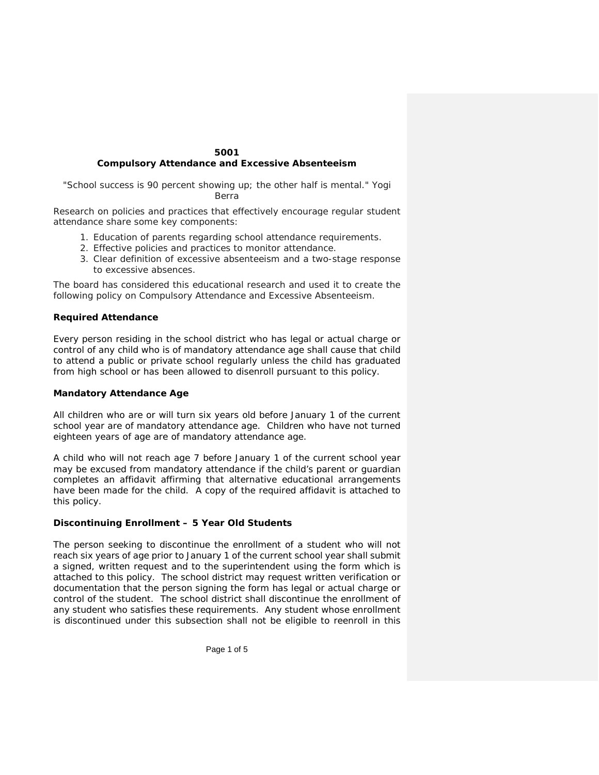### **5001 Compulsory Attendance and Excessive Absenteeism**

*"School success is 90 percent showing up; the other half is mental." Yogi Berra*

Research on policies and practices that effectively encourage regular student attendance share some key components:

- 1. Education of parents regarding school attendance requirements.
- 2. Effective policies and practices to monitor attendance.
- 3. Clear definition of excessive absenteeism and a two-stage response to excessive absences.

The board has considered this educational research and used it to create the following policy on Compulsory Attendance and Excessive Absenteeism.

## **Required Attendance**

Every person residing in the school district who has legal or actual charge or control of any child who is of mandatory attendance age shall cause that child to attend a public or private school regularly unless the child has graduated from high school or has been allowed to disenroll pursuant to this policy.

## **Mandatory Attendance Age**

All children who are or will turn six years old before January 1 of the current school year are of mandatory attendance age. Children who have not turned eighteen years of age are of mandatory attendance age.

A child who will not reach age 7 before January 1 of the current school year may be excused from mandatory attendance if the child's parent or guardian completes an affidavit affirming that alternative educational arrangements have been made for the child. A copy of the required affidavit is attached to this policy.

## **Discontinuing Enrollment – 5 Year Old Students**

The person seeking to discontinue the enrollment of a student who will not reach six years of age prior to January 1 of the current school year shall submit a signed, written request and to the superintendent using the form which is attached to this policy. The school district may request written verification or documentation that the person signing the form has legal or actual charge or control of the student. The school district shall discontinue the enrollment of any student who satisfies these requirements. Any student whose enrollment is discontinued under this subsection shall not be eligible to reenroll in this

Page 1 of 5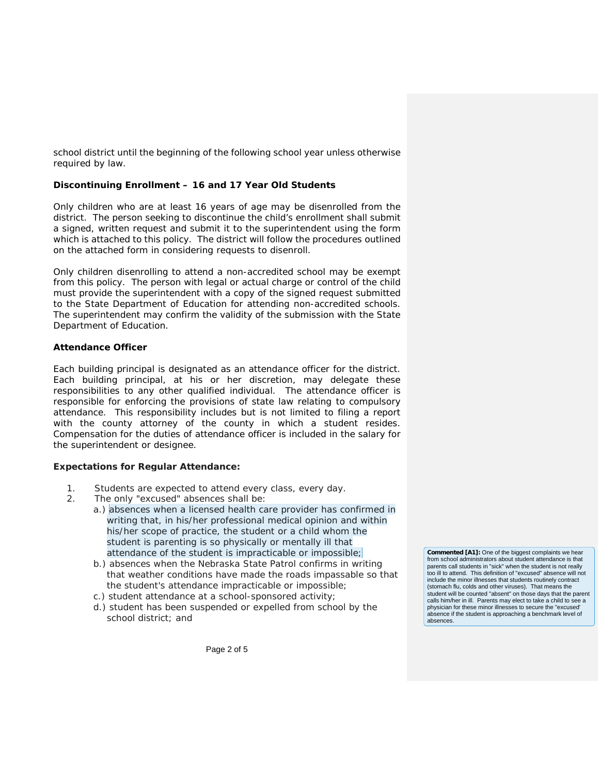school district until the beginning of the following school year unless otherwise required by law.

## **Discontinuing Enrollment – 16 and 17 Year Old Students**

Only children who are at least 16 years of age may be disenrolled from the district. The person seeking to discontinue the child's enrollment shall submit a signed, written request and submit it to the superintendent using the form which is attached to this policy. The district will follow the procedures outlined on the attached form in considering requests to disenroll.

Only children disenrolling to attend a non-accredited school may be exempt from this policy. The person with legal or actual charge or control of the child must provide the superintendent with a copy of the signed request submitted to the State Department of Education for attending non-accredited schools. The superintendent may confirm the validity of the submission with the State Department of Education.

### **Attendance Officer**

Each building principal is designated as an attendance officer for the district. Each building principal, at his or her discretion, may delegate these responsibilities to any other qualified individual. The attendance officer is responsible for enforcing the provisions of state law relating to compulsory attendance. This responsibility includes but is not limited to filing a report with the county attorney of the county in which a student resides. Compensation for the duties of attendance officer is included in the salary for the superintendent or designee.

#### **Expectations for Regular Attendance:**

- 1. Students are expected to attend every class, every day.
- 2. The only "excused" absences shall be:
	- a.) absences when a licensed health care provider has confirmed in writing that, in his/her professional medical opinion and within his/her scope of practice, the student or a child whom the student is parenting is so physically or mentally ill that attendance of the student is impracticable or impossible;
	- b.) absences when the Nebraska State Patrol confirms in writing that weather conditions have made the roads impassable so that the student's attendance impracticable or impossible;
	- c.) student attendance at a school-sponsored activity;
	- d.) student has been suspended or expelled from school by the school district; and

**Commented [A1]:** One of the biggest complaints we hear from school administrators about student attendance is that parents call students in "sick" when the student is not really too ill to attend. This definition of "excused" absence will not include the minor illnesses that students routinely contract (stomach flu, colds and other viruses). That means the student will be counted "absent" on those days that the parent calls him/her in ill. Parents may elect to take a child to see a physician for these minor illnesses to secure the "excused' absence if the student is approaching a benchmark level of absences.

Page 2 of 5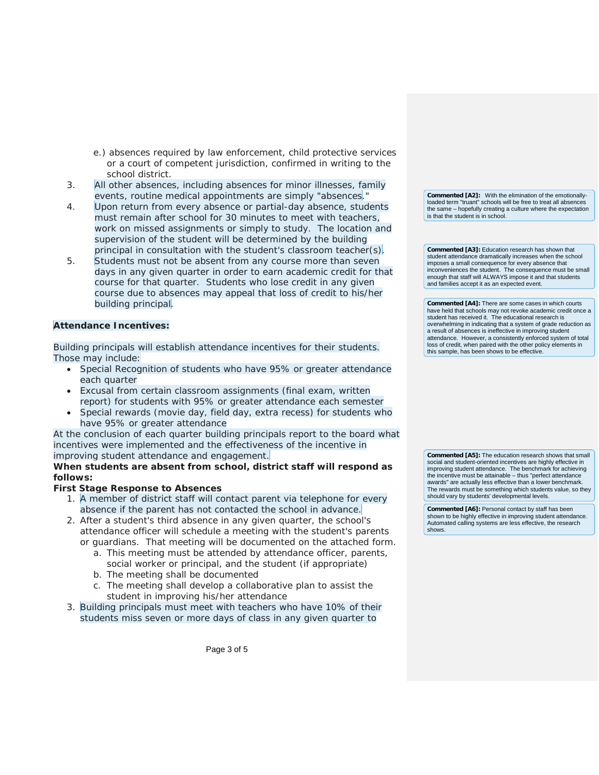- e.) absences required by law enforcement, child protective services or a court of competent jurisdiction, confirmed in writing to the school district.
- 3. All other absences, including absences for minor illnesses, family events, routine medical appointments are simply "absences."
- 4. Upon return from every absence or partial-day absence, students must remain after school for 30 minutes to meet with teachers, work on missed assignments or simply to study. The location and supervision of the student will be determined by the building principal in consultation with the student's classroom teacher(s).
- 5. Students must not be absent from any course more than seven days in any given quarter in order to earn academic credit for that course for that quarter. Students who lose credit in any given course due to absences may appeal that loss of credit to his/her building principal.

# **Attendance Incentives:**

Building principals will establish attendance incentives for their students. Those may include:

- Special Recognition of students who have 95% or greater attendance each quarter
- Excusal from certain classroom assignments (final exam, written report) for students with 95% or greater attendance each semester
- Special rewards (movie day, field day, extra recess) for students who have 95% or greater attendance

At the conclusion of each quarter building principals report to the board what incentives were implemented and the effectiveness of the incentive in improving student attendance and engagement.

**When students are absent from school, district staff will respond as follows:**

## **First Stage Response to Absences**

- 1. A member of district staff will contact parent via telephone for every absence if the parent has not contacted the school in advance.
- 2. After a student's third absence in any given quarter, the school's attendance officer will schedule a meeting with the student's parents or guardians. That meeting will be documented on the attached form.
	- a. This meeting must be attended by attendance officer, parents, social worker or principal, and the student (if appropriate)
	- b. The meeting shall be documented
	- c. The meeting shall develop a collaborative plan to assist the student in improving his/her attendance
- 3. Building principals must meet with teachers who have 10% of their students miss seven or more days of class in any given quarter to

**Commented [A2]:** With the elimination of the emotionallyloaded term "truant" schools will be free to treat all absences the same – hopefully creating a culture where the expectation is that the student is in school.

**Commented [A3]:** Education research has shown that student attendance dramatically increases when the school imposes a small consequence for every absence that inconveniences the student. The consequence must be small enough that staff will ALWAYS impose it and that students and families accept it as an expected event.

**Commented [A4]:** There are some cases in which courts have held that schools may not revoke academic credit once a student has received it. The educational research is overwhelming in indicating that a system of grade reduction as a result of absences is ineffective in improving student attendance. However, a consistently enforced system of total loss of credit, when paired with the other policy elements in this sample, has been shows to be effective.

**Commented [A5]:** The education research shows that small social and student-oriented incentives are highly effective in improving student attendance. The benchmark for achieving the incentive must be attainable – thus "perfect attendance awards" are actually less effective than a lower benchmark. The rewards must be something which students value, so they should vary by students' developmental levels.

**Commented [A6]:** Personal contact by staff has been shown to be highly effective in improving student attendance. Automated calling systems are less effective, the research shows.

Page 3 of 5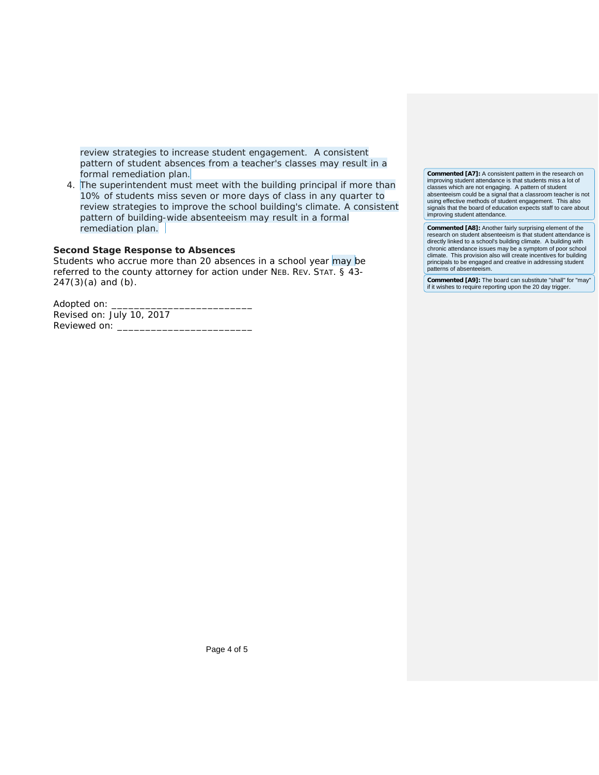review strategies to increase student engagement. A consistent pattern of student absences from a teacher's classes may result in a formal remediation plan.

4. The superintendent must meet with the building principal if more than 10% of students miss seven or more days of class in any quarter to review strategies to improve the school building's climate. A consistent pattern of building-wide absenteeism may result in a formal remediation plan.

#### **Second Stage Response to Absences**

Students who accrue more than 20 absences in a school year may be referred to the county attorney for action under NEB. REV. STAT. § 43- 247(3)(a) and (b).

Adopted on: \_ Revised on: July 10, 2017 Reviewed on:

**Commented [A7]:** A consistent pattern in the research on improving student attendance is that students miss a lot of classes which are not engaging. A pattern of student absenteeism could be a signal that a classroom teacher is not using effective methods of student engagement. This also signals that the board of education expects staff to care about improving student attendance.

**Commented [A8]:** Another fairly surprising element of the research on student absenteeism is that student attendance is directly linked to a school's building climate. A building with chronic attendance issues may be a symptom of poor school climate. This provision also will create incentives for building principals to be engaged and creative in addressing student patterns of absenteeism.

**Commented [A9]:** The board can substitute "shall" for "may" if it wishes to require reporting upon the 20 day trigger.